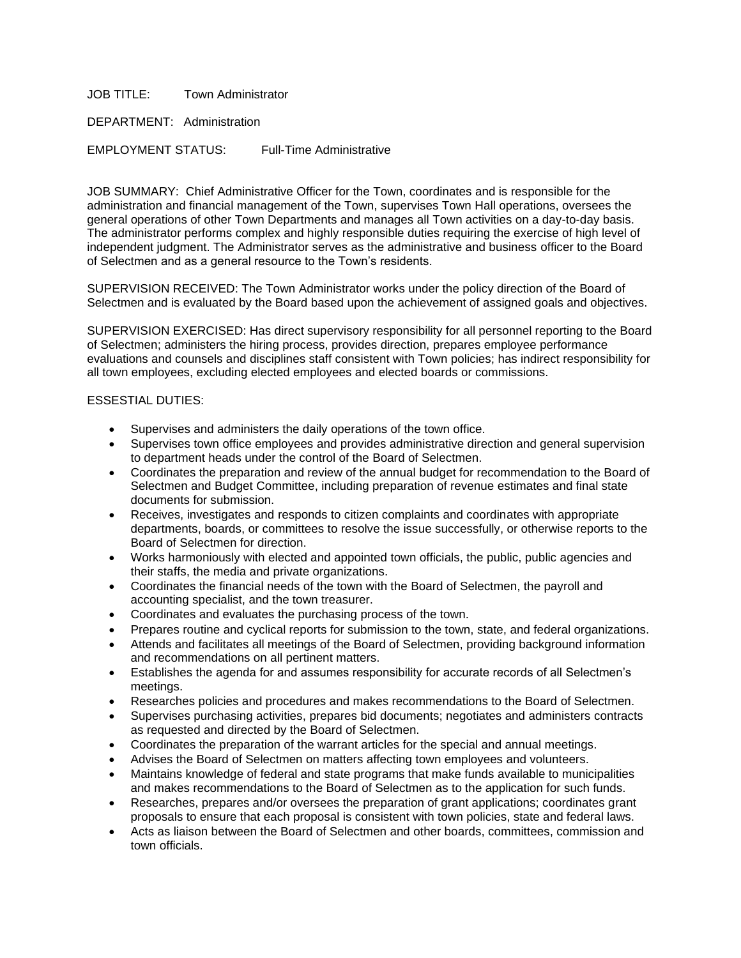JOB TITLE: Town Administrator

DEPARTMENT: Administration

EMPLOYMENT STATUS: Full-Time Administrative

JOB SUMMARY: Chief Administrative Officer for the Town, coordinates and is responsible for the administration and financial management of the Town, supervises Town Hall operations, oversees the general operations of other Town Departments and manages all Town activities on a day-to-day basis. The administrator performs complex and highly responsible duties requiring the exercise of high level of independent judgment. The Administrator serves as the administrative and business officer to the Board of Selectmen and as a general resource to the Town's residents.

SUPERVISION RECEIVED: The Town Administrator works under the policy direction of the Board of Selectmen and is evaluated by the Board based upon the achievement of assigned goals and objectives.

SUPERVISION EXERCISED: Has direct supervisory responsibility for all personnel reporting to the Board of Selectmen; administers the hiring process, provides direction, prepares employee performance evaluations and counsels and disciplines staff consistent with Town policies; has indirect responsibility for all town employees, excluding elected employees and elected boards or commissions.

## ESSESTIAL DUTIES:

- Supervises and administers the daily operations of the town office.
- Supervises town office employees and provides administrative direction and general supervision to department heads under the control of the Board of Selectmen.
- Coordinates the preparation and review of the annual budget for recommendation to the Board of Selectmen and Budget Committee, including preparation of revenue estimates and final state documents for submission.
- Receives, investigates and responds to citizen complaints and coordinates with appropriate departments, boards, or committees to resolve the issue successfully, or otherwise reports to the Board of Selectmen for direction.
- Works harmoniously with elected and appointed town officials, the public, public agencies and their staffs, the media and private organizations.
- Coordinates the financial needs of the town with the Board of Selectmen, the payroll and accounting specialist, and the town treasurer.
- Coordinates and evaluates the purchasing process of the town.
- Prepares routine and cyclical reports for submission to the town, state, and federal organizations.
- Attends and facilitates all meetings of the Board of Selectmen, providing background information and recommendations on all pertinent matters.
- Establishes the agenda for and assumes responsibility for accurate records of all Selectmen's meetings.
- Researches policies and procedures and makes recommendations to the Board of Selectmen.
- Supervises purchasing activities, prepares bid documents; negotiates and administers contracts as requested and directed by the Board of Selectmen.
- Coordinates the preparation of the warrant articles for the special and annual meetings.
- Advises the Board of Selectmen on matters affecting town employees and volunteers.
- Maintains knowledge of federal and state programs that make funds available to municipalities and makes recommendations to the Board of Selectmen as to the application for such funds.
- Researches, prepares and/or oversees the preparation of grant applications; coordinates grant proposals to ensure that each proposal is consistent with town policies, state and federal laws.
- Acts as liaison between the Board of Selectmen and other boards, committees, commission and town officials.